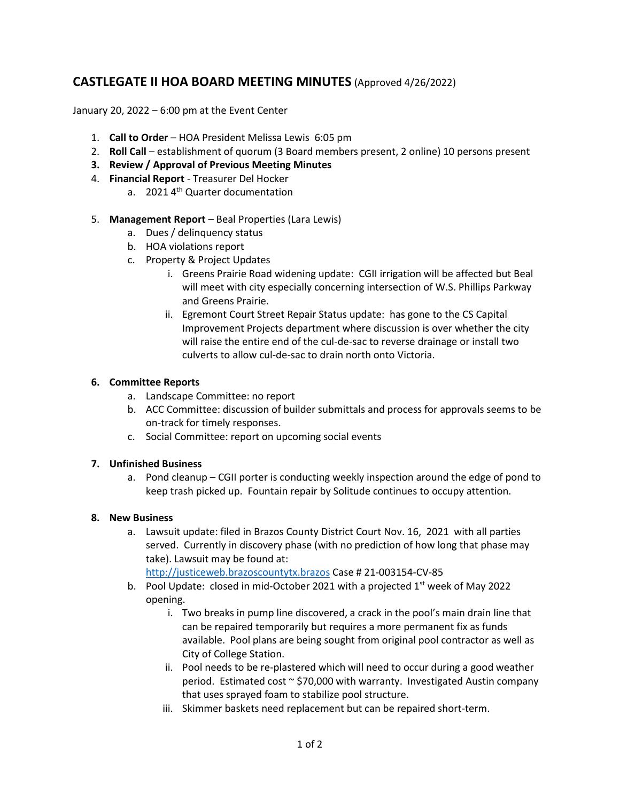## **CASTLEGATE II HOA BOARD MEETING MINUTES** (Approved 4/26/2022)

January 20, 2022 – 6:00 pm at the Event Center

- 1. **Call to Order** HOA President Melissa Lewis 6:05 pm
- 2. **Roll Call** establishment of quorum (3 Board members present, 2 online) 10 persons present
- **3. Review / Approval of Previous Meeting Minutes**
- 4. **Financial Report** Treasurer Del Hocker
	- a. 2021 4<sup>th</sup> Quarter documentation
- 5. **Management Report** Beal Properties (Lara Lewis)
	- a. Dues / delinquency status
	- b. HOA violations report
	- c. Property & Project Updates
		- i. Greens Prairie Road widening update: CGII irrigation will be affected but Beal will meet with city especially concerning intersection of W.S. Phillips Parkway and Greens Prairie.
		- ii. Egremont Court Street Repair Status update: has gone to the CS Capital Improvement Projects department where discussion is over whether the city will raise the entire end of the cul-de-sac to reverse drainage or install two culverts to allow cul-de-sac to drain north onto Victoria.

## **6. Committee Reports**

- a. Landscape Committee: no report
- b. ACC Committee: discussion of builder submittals and process for approvals seems to be on-track for timely responses.
- c. Social Committee: report on upcoming social events

## **7. Unfinished Business**

a. Pond cleanup – CGII porter is conducting weekly inspection around the edge of pond to keep trash picked up. Fountain repair by Solitude continues to occupy attention.

## **8. New Business**

a. Lawsuit update: filed in Brazos County District Court Nov. 16, 2021 with all parties served. Currently in discovery phase (with no prediction of how long that phase may take). Lawsuit may be found at:

[http://justiceweb.brazoscountytx.brazos](http://justiceweb.brazoscountytx.brazos/) Case # 21-003154-CV-85

- b. Pool Update: closed in mid-October 2021 with a projected  $1<sup>st</sup>$  week of May 2022 opening.
	- i. Two breaks in pump line discovered, a crack in the pool's main drain line that can be repaired temporarily but requires a more permanent fix as funds available. Pool plans are being sought from original pool contractor as well as City of College Station.
	- ii. Pool needs to be re-plastered which will need to occur during a good weather period. Estimated cost ~ \$70,000 with warranty. Investigated Austin company that uses sprayed foam to stabilize pool structure.
	- iii. Skimmer baskets need replacement but can be repaired short-term.